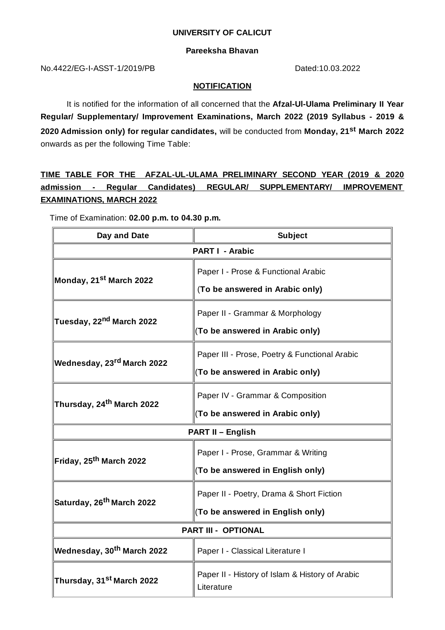#### **UNIVERSITY OF CALICUT**

### **Pareeksha Bhavan**

No.4422/EG-I-ASST-1/2019/PB Dated:10.03.2022

### **NOTIFICATION**

It is notified for the information of all concerned that the **Afzal-Ul-Ulama Preliminary II Year Regular/ Supplementary/ Improvement Examinations, March 2022 (2019 Syllabus - 2019 & 2020 Admission only) for regular candidates,** will be conducted from **Monday, 21 st March 2022** onwards as per the following Time Table:

**TIME TABLE FOR THE AFZAL-UL-ULAMA PRELIMINARY SECOND YEAR (2019 & 2020 admission - Regular Candidates) REGULAR/ SUPPLEMENTARY/ IMPROVEMENT EXAMINATIONS, MARCH 2022**

Time of Examination: **02.00 p.m. to 04.30 p.m.**

| Day and Date                                 | <b>Subject</b>                                                                   |
|----------------------------------------------|----------------------------------------------------------------------------------|
| <b>PART I - Arabic</b>                       |                                                                                  |
| <b>Monday, 21<sup>st</sup> March 2022</b>    | Paper I - Prose & Functional Arabic<br>(To be answered in Arabic only)           |
| <b>Tuesday, 22<sup>nd</sup> March 2022</b>   | Paper II - Grammar & Morphology<br>(To be answered in Arabic only)               |
| <b>Wednesday, 23rd March 2022</b>            | Paper III - Prose, Poetry & Functional Arabic<br>(To be answered in Arabic only) |
| Thursday, 24 <sup>th</sup> March 2022        | Paper IV - Grammar & Composition<br>(To be answered in Arabic only)              |
| <b>PART II - English</b>                     |                                                                                  |
| Friday, 25 <sup>th</sup> March 2022          | Paper I - Prose, Grammar & Writing<br>(To be answered in English only)           |
| Saturday, 26 <sup>th</sup> March 2022        | Paper II - Poetry, Drama & Short Fiction<br>(To be answered in English only)     |
| <b>PART III - OPTIONAL</b>                   |                                                                                  |
| <b>Wednesday, 30<sup>th</sup> March 2022</b> | Paper I - Classical Literature I                                                 |
| Thursday, 31 <sup>st</sup> March 2022        | Paper II - History of Islam & History of Arabic<br>Literature                    |